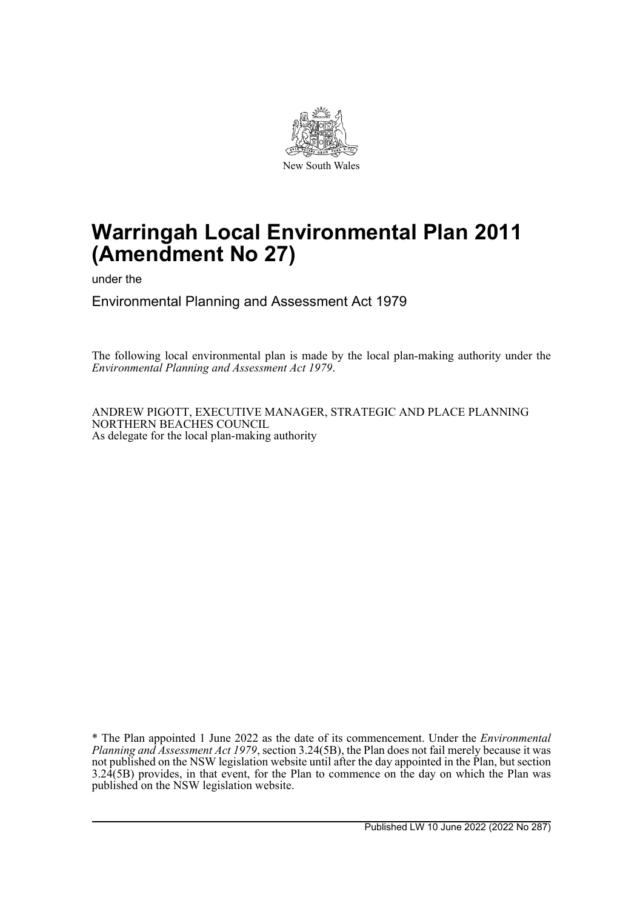

# **Warringah Local Environmental Plan 2011 (Amendment No 27)**

under the

Environmental Planning and Assessment Act 1979

The following local environmental plan is made by the local plan-making authority under the *Environmental Planning and Assessment Act 1979*.

ANDREW PIGOTT, EXECUTIVE MANAGER, STRATEGIC AND PLACE PLANNING NORTHERN BEACHES COUNCIL As delegate for the local plan-making authority

\* The Plan appointed 1 June 2022 as the date of its commencement. Under the *Environmental Planning and Assessment Act 1979*, section 3.24(5B), the Plan does not fail merely because it was not published on the NSW legislation website until after the day appointed in the Plan, but section 3.24(5B) provides, in that event, for the Plan to commence on the day on which the Plan was published on the NSW legislation website.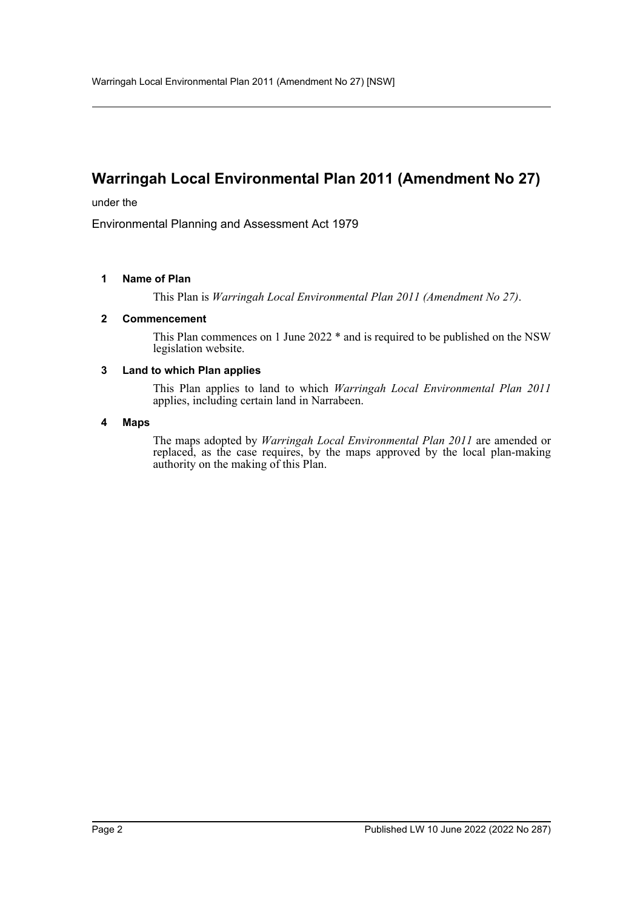# **Warringah Local Environmental Plan 2011 (Amendment No 27)**

under the

Environmental Planning and Assessment Act 1979

### **1 Name of Plan**

This Plan is *Warringah Local Environmental Plan 2011 (Amendment No 27)*.

### **2 Commencement**

This Plan commences on 1 June 2022 \* and is required to be published on the NSW legislation website.

#### **3 Land to which Plan applies**

This Plan applies to land to which *Warringah Local Environmental Plan 2011* applies, including certain land in Narrabeen.

#### **4 Maps**

The maps adopted by *Warringah Local Environmental Plan 2011* are amended or replaced, as the case requires, by the maps approved by the local plan-making authority on the making of this Plan.